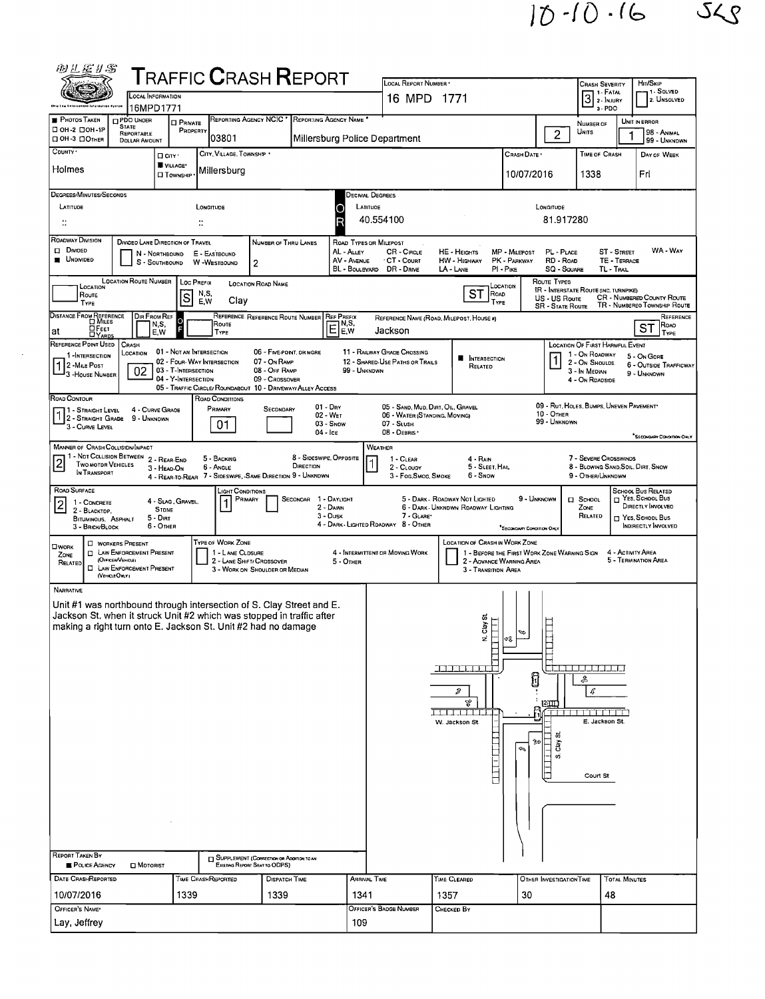$10 - 10 - 16$   $56$ 

|                                                                                                                                 | OCAL INFORMATION                                                   | <b>TRAFFIC CRASH REPORT</b>                                                                                                                   |                                                    | LOCAL REPORT NUMBER .<br>16 MPD 1771                               |                                                                         |                                                                         | Crash Severity<br>1 - Fatal<br>$31. F$ Muury                      | HIT/SKIP<br>1 - Solved<br>2. UNSOLVED                      |
|---------------------------------------------------------------------------------------------------------------------------------|--------------------------------------------------------------------|-----------------------------------------------------------------------------------------------------------------------------------------------|----------------------------------------------------|--------------------------------------------------------------------|-------------------------------------------------------------------------|-------------------------------------------------------------------------|-------------------------------------------------------------------|------------------------------------------------------------|
| <b>PHOTOS TAKEN</b>                                                                                                             | 16MPD1771<br><b>PDO UNDER</b>                                      | REPORTING AGENCY NCIC * REPORTING AGENCY NAME                                                                                                 |                                                    |                                                                    |                                                                         |                                                                         | $3 - PDO$                                                         | UNIT IN ERROR                                              |
| <b>STATE</b><br>□ ОН-2 □ ОН-1Р<br>□ OH-3 □ OTHER                                                                                | <b>D</b> PRIVATE<br>PROPERTY<br>REPORTABLE<br><b>DOLLAR AMOUNT</b> | 03801                                                                                                                                         | Millersburg Police Department                      |                                                                    |                                                                         | $\overline{2}$                                                          | NUMBER OF<br>Units                                                | 98 - Animal<br>99 - UNKNOWN                                |
| COUNTY '                                                                                                                        | □ City ·                                                           | CITY, VILLAGE, TOWNSHIP .                                                                                                                     |                                                    |                                                                    |                                                                         | CRASH DATE *                                                            | TIME OF CRASH                                                     | DAY OF WEEK                                                |
| Holmes                                                                                                                          | VILLAGE*<br><b>□ Тоwnsнір</b>                                      | Millersburg                                                                                                                                   |                                                    |                                                                    |                                                                         | 10/07/2016                                                              | 1338                                                              | Fri                                                        |
| DEGREES/MINUTES/SECONDS                                                                                                         |                                                                    |                                                                                                                                               | <b>DECIMAL DEGREES</b>                             |                                                                    |                                                                         |                                                                         |                                                                   |                                                            |
| LATITUDE<br>$\ddot{\phantom{a}}$                                                                                                |                                                                    | LONGITUDE<br>$\dddot{\phantom{a}}$                                                                                                            | LATITUDE<br>۰                                      | 40.554100                                                          |                                                                         | LONGITUDE<br>81.917280                                                  |                                                                   |                                                            |
| ROADWAY DIVISION                                                                                                                | DIVIDED LANE DIRECTION OF TRAVEL                                   | NUMBER OF THRU LANES                                                                                                                          | ROAD TYPES OR MILEPOST                             |                                                                    |                                                                         |                                                                         |                                                                   |                                                            |
| Divideo<br><b>UNDIVIDED</b>                                                                                                     | N - NORTHBOUND<br>S - SOUTHBOUND                                   | E - EASTBOUND<br>W -WESTBOUND<br>$\overline{2}$                                                                                               | AL - ALLEY<br>AV - AVENUE<br>BL - Boulevard        | CR - Circus<br>CT - Count<br>DR - Dave                             | <b>HE - HEIGHTS</b><br><b>HW - HIGHWAY</b><br>$PI - P$ IKE<br>LA - LANE | MP - MILEPOST<br>PL - PLACE<br>PK - PARKWAY<br>RD - ROAD<br>SQ - SQUARE | ST-STREET<br>TE - TERRACE<br>TL - TRAL                            | WA - Way                                                   |
| LOCATION                                                                                                                        | <b>LOCATION ROUTE NUMBER</b><br>Loc Prefix                         | <b>LOCATION ROAD NAME</b>                                                                                                                     |                                                    |                                                                    | LOCATION                                                                | ROUTE TYPES                                                             | <b>IR - INTERSTATE ROUTE (INC. TURNPIKE)</b>                      |                                                            |
| Route<br>TYPE                                                                                                                   | s                                                                  | N,S,<br>EW<br>Clay                                                                                                                            |                                                    |                                                                    | SТ<br>ROAD<br>TYPE                                                      | US - US Route<br><b>SR - STATE ROUTE</b>                                | <b>CR - NUMBERED COUNTY ROUTE</b><br>TR - NUMBEREO TOWNSHIP ROUTE |                                                            |
| DISTANCE FROM REFERENCE<br>E FEET<br>at                                                                                         | <b>DIR FROM REF</b><br>$\circ$<br>N,S,<br>Ŀ<br>E.W                 | REFERENCE REFERENCE ROUTE NUMBER REF PREFIX<br>Route<br>TYPE                                                                                  | N,S,<br>Ē<br>E,W                                   | REFERENCE NAME (ROAD, MILEPOST, HOUSE #)<br>Jackson                |                                                                         |                                                                         |                                                                   | ST                                                         |
| REFERENCE PDINT USED<br>CRASH<br>1-INTERSECTION                                                                                 | 01 - NOT AN INTERSECTION<br>LOCATION                               | 06 - FIVE POINT, OR MORE                                                                                                                      |                                                    | 11 - RAILWAY GRADE CROSSING                                        |                                                                         |                                                                         | LOCATION OF FIRST HARMFUL EVENT<br>1 - On ROAOWAY                 | 5 - On GORE                                                |
| 1 2 - MILE POST<br>3 - House NUMBER                                                                                             | 02<br>03 - T-INTERSECTION<br>04 - Y-INTERSECTION                   | 02 - FOUR-WAY INTERSECTION<br>07 - On RAMP<br>08 - Off RAMP                                                                                   | 99 - UNKNDWN                                       | 12 - SHARED-USE PATHS OR TRAILS                                    | <b>NTERSECTION</b><br>RELATED                                           |                                                                         | 2 - ON SHOULDE<br>3 - In MEDIAN                                   | 6 - OUTSIDE TRAFFICWAY<br>9 - UNKNOWN                      |
| ROAD CONTOUR                                                                                                                    |                                                                    | 09 - CROSSOVER<br>05 - TRAFFIC CIRCLE/ ROUNDABOUT 10 - DRIVEWAY/ ALLEY ACCESS<br>ROAD CONDITIONS                                              |                                                    |                                                                    |                                                                         |                                                                         | 4 - On RDADSIDE                                                   |                                                            |
| 1 - STRAIGHT LEVEL 4 - CURVE GR<br>1 2 - STRAIGHT GRADE 9 - UNKNOWN                                                             | 4 - CURVE GRAOE                                                    | PRIMARY<br>SECONDARY                                                                                                                          | $01 - Drx$<br>$02 - W_{ET}$                        | 05 - SAND, MUD, DIRT, OIL, GRAVEL<br>06 - WATER (STANDING, MOVING) |                                                                         | 10 - OTHER<br>99 - UNKNOWN                                              | 09 - RUT, HOLES, BUMPS, UNEVEN PAVEMENT                           |                                                            |
| 3 - CURVE LEVEL                                                                                                                 |                                                                    | 01                                                                                                                                            | $03 -$ SNDW<br>04 - Ice                            | 07 - SLUSH<br>08 - DEBRIS                                          |                                                                         |                                                                         |                                                                   | <sup>*</sup> SECONDARY CONDITION ONLY                      |
| <b>MANNER OF CRASH COLLISION MPACT</b><br>1 - NOT COLLISION BETWEEN 2 - REAR-END<br>$\overline{2}$<br><b>TWO MOTOR VEHICLES</b> |                                                                    | 5 - BACKING                                                                                                                                   | 8 - SIDESWIPE, OPPDSITE                            | WEATHER<br>$1 - CLEAR$                                             | $4 - R$ AIN                                                             |                                                                         | 7 - SEVERE CROSSWINDS                                             |                                                            |
| IN TRANSPORT                                                                                                                    | 3 - HEAD-ON                                                        | 6 - ANGLE<br>4 - REAR-TO-REAR 7 - SIDESWIPE, SAME DIRECTION 9 - UNKNOWN                                                                       | DIRECTION                                          | 2 - CLOUDY<br>3 - Fog Smog, Smoke                                  | 5 - SLEET, HAIL<br>6 - Snow                                             |                                                                         | 8 - BLOWING SAND, SOIL, DIRT, SNOW<br>9 - OTHER/UNKNDWN           |                                                            |
| ROAD SURFACE<br>1 - CONCRETE<br>$\vert$ 2                                                                                       | 4 - Slag, Gravel,                                                  | LIGHT CONDITIONS<br>Primary                                                                                                                   | SECONDAR 1 - DAYLIGHT<br>2 - DAWN                  |                                                                    | 5 - DARK - ROADWAY NOT LIGHTED<br>6 - DARK - UNKNOWN ROADWAY LIGHTING   | 9 - UNKNOWN                                                             | <b>II</b> SCHOOL<br>ZONE                                          | SCHOOL BUS RELATED<br>YES, SCHOOL BUS<br>DIRECTLY INVOLVED |
| 2 - BLACKTOP,<br>BITUMINOUS, ASPHALT<br>3 - BRICK/BLOCK                                                                         | <b>STONE</b><br>$5 - D$ IRT<br>6 - OTHER                           |                                                                                                                                               | $3 -$ Dusk<br>4 - DARK - LIGHTED RDADWAY 8 - OTHER | 7 - GLARE                                                          |                                                                         | "SECONDARY CONDITION ONLY                                               | RELATED                                                           | □ Yes. School Bus<br>INDIRECTLY INVOLVED                   |
| <b>D</b> WORKERS PRESENT<br><b>O</b> WORK                                                                                       |                                                                    | TYPE OF WORK ZONE<br>1 - LANE CLOSURE                                                                                                         |                                                    |                                                                    | LOCATION OF CRASH IN WORK ZONE                                          |                                                                         |                                                                   | 4 - ACTIVITY AREA                                          |
| <b>D</b> LAW ENFORCEMENT PRESENT<br>ZONE<br>(OFFICER/VEHICLE)<br>RELATED<br><b>CI LAW ENFORCEMENT PRESENT</b>                   |                                                                    | 2 - LANE SHIFT/ CROSSOVER<br>3 - WORK ON SHOULDER OR MEDIAN                                                                                   | 5 - OTHER                                          | 4 - INTERMITTENT OR MOVING WORK                                    | 2 - ADVANCE WARNING AREA<br>3 - Transition Area                         | 1 - BEFORE THE FIRST WORK ZONE WARNING SIGN                             |                                                                   | 5 - TERMINATION AREA                                       |
| (VEHICLEORLY)<br><b>NARRATIVE</b>                                                                                               |                                                                    |                                                                                                                                               |                                                    |                                                                    |                                                                         |                                                                         |                                                                   |                                                            |
|                                                                                                                                 |                                                                    | Unit #1 was northbound through intersection of S. Clay Street and E.<br>Jackson St. when it struck Unit #2 which was stopped in traffic after |                                                    |                                                                    |                                                                         |                                                                         |                                                                   |                                                            |
|                                                                                                                                 |                                                                    | making a right turn onto E. Jackson St. Unit #2 had no damage                                                                                 |                                                    |                                                                    | Clay St.<br>E<br>ź<br>¢J                                                | ∾                                                                       |                                                                   |                                                            |
|                                                                                                                                 |                                                                    |                                                                                                                                               |                                                    |                                                                    |                                                                         |                                                                         |                                                                   |                                                            |
|                                                                                                                                 |                                                                    |                                                                                                                                               |                                                    |                                                                    |                                                                         |                                                                         |                                                                   |                                                            |
|                                                                                                                                 |                                                                    |                                                                                                                                               |                                                    |                                                                    | كاستحداره المتحاكة                                                      |                                                                         | ی و مرم نیز مرم مرم نیز ند زد                                     |                                                            |
|                                                                                                                                 |                                                                    |                                                                                                                                               |                                                    |                                                                    | D                                                                       | Û                                                                       | ♧<br>ß                                                            |                                                            |
|                                                                                                                                 |                                                                    |                                                                                                                                               |                                                    |                                                                    | Ą,<br>اده مصری کرد (                                                    | <u>1211111</u>                                                          | TI TI TI TI TI TI TI<br>E. Jackson St.                            |                                                            |
|                                                                                                                                 |                                                                    |                                                                                                                                               |                                                    |                                                                    | W. Jackson St.                                                          | t,<br>勖                                                                 |                                                                   |                                                            |
|                                                                                                                                 |                                                                    |                                                                                                                                               |                                                    |                                                                    |                                                                         | Clay<br>Φ<br>vi                                                         |                                                                   |                                                            |
|                                                                                                                                 |                                                                    |                                                                                                                                               |                                                    |                                                                    | <b>THEFT</b>                                                            | <b>THE FILLER</b>                                                       | Court St                                                          |                                                            |
|                                                                                                                                 |                                                                    |                                                                                                                                               |                                                    |                                                                    |                                                                         |                                                                         |                                                                   |                                                            |
|                                                                                                                                 |                                                                    |                                                                                                                                               |                                                    |                                                                    |                                                                         |                                                                         |                                                                   |                                                            |
|                                                                                                                                 |                                                                    |                                                                                                                                               |                                                    |                                                                    |                                                                         |                                                                         |                                                                   |                                                            |
| REPORT TAKEN BY<br>POLICE AGENCY                                                                                                | MOTORIST                                                           | SUPPLEMENT (CORRECTION OR ADDITION TO AN<br>EXISTING REPORT SENT TO ODPS)                                                                     |                                                    |                                                                    |                                                                         |                                                                         |                                                                   |                                                            |
| DATE CRASHREPORTED<br>10/07/2016                                                                                                | 1339                                                               | Tume CrashReported<br><b>DISPATCH TIME</b><br>1339                                                                                            | ARRIVAL TIME<br>1341                               |                                                                    | TIME CLEARED<br>1357                                                    | OTHER INVESTIGATION TIME<br>30                                          | <b>TOTAL MINUTES</b><br>48                                        |                                                            |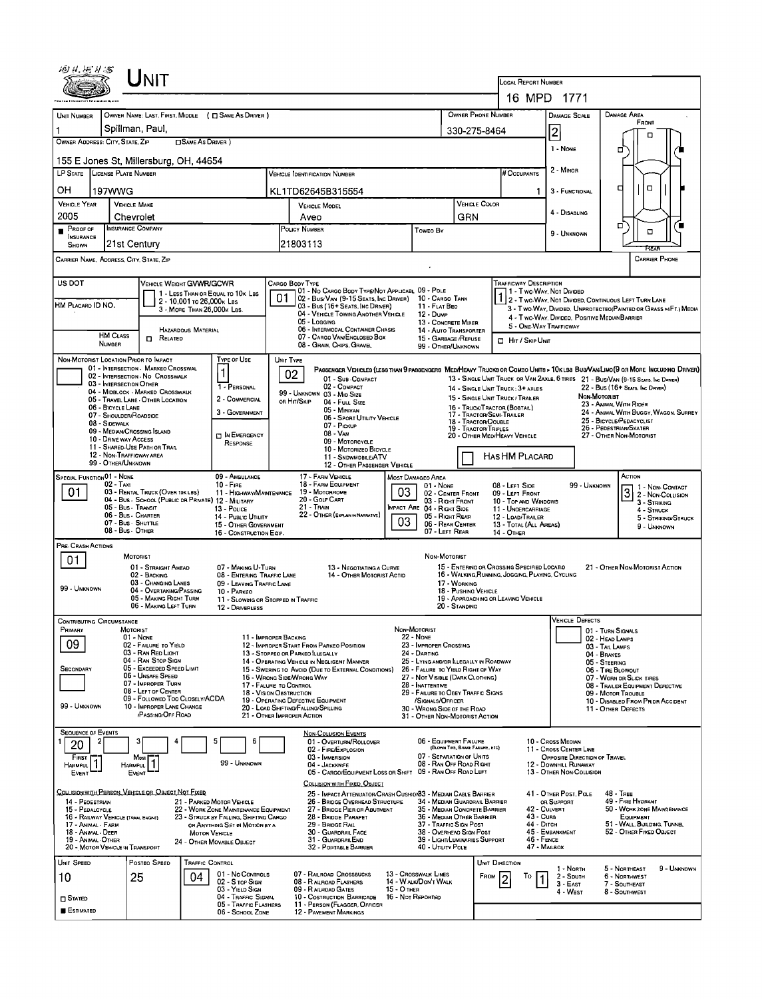|                                                                                                                                                                                                                                                         |                                       | ${\sf J}_{\sf NIT}$                                                   |                            |                                                                                |                                                                                 |                                                                                                                                                 |                   |                                                                                       |                                          |                                                   |                                                                                                                        |                                                               |                        |                                                                                                                  |                      |             |
|---------------------------------------------------------------------------------------------------------------------------------------------------------------------------------------------------------------------------------------------------------|---------------------------------------|-----------------------------------------------------------------------|----------------------------|--------------------------------------------------------------------------------|---------------------------------------------------------------------------------|-------------------------------------------------------------------------------------------------------------------------------------------------|-------------------|---------------------------------------------------------------------------------------|------------------------------------------|---------------------------------------------------|------------------------------------------------------------------------------------------------------------------------|---------------------------------------------------------------|------------------------|------------------------------------------------------------------------------------------------------------------|----------------------|-------------|
|                                                                                                                                                                                                                                                         |                                       |                                                                       |                            |                                                                                |                                                                                 |                                                                                                                                                 |                   |                                                                                       |                                          |                                                   | <b>LOCAL REPORT NUMBER</b><br>16 MPD                                                                                   | - 1771                                                        |                        |                                                                                                                  |                      |             |
|                                                                                                                                                                                                                                                         |                                       |                                                                       |                            |                                                                                |                                                                                 |                                                                                                                                                 |                   |                                                                                       |                                          |                                                   |                                                                                                                        |                                                               |                        | <b>DAMAGE AREA</b>                                                                                               |                      |             |
| OWNER PHONE NUMBER<br>OWNER NAME: LAST, FIRST, MIDDLE ( C SAME AS DRIVER )<br>UNIT NUMBER                                                                                                                                                               |                                       |                                                                       |                            |                                                                                |                                                                                 |                                                                                                                                                 |                   |                                                                                       |                                          | DAMAGE SCALE                                      |                                                                                                                        |                                                               | FRONT                  |                                                                                                                  |                      |             |
| Spillman, Paul,<br>330-275-8464<br>OWNER ADDRESS: CITY, STATE, ZIP<br><b>OSAME AS DRIVER</b> )                                                                                                                                                          |                                       |                                                                       |                            |                                                                                |                                                                                 |                                                                                                                                                 |                   |                                                                                       | 2                                        |                                                   |                                                                                                                        | □                                                             |                        |                                                                                                                  |                      |             |
| 1 - NONE<br>155 E Jones St. Millersburg, OH 44654                                                                                                                                                                                                       |                                       |                                                                       |                            |                                                                                |                                                                                 |                                                                                                                                                 |                   |                                                                                       |                                          | 0                                                 |                                                                                                                        |                                                               |                        |                                                                                                                  |                      |             |
| LP STATE LICENSE PLATE NUMBER<br><b>VEHICLE IDENTIFICATION NUMBER</b>                                                                                                                                                                                   |                                       |                                                                       |                            |                                                                                |                                                                                 |                                                                                                                                                 |                   | # Occupants                                                                           | 2 MINOR                                  |                                                   |                                                                                                                        |                                                               |                        |                                                                                                                  |                      |             |
| OН                                                                                                                                                                                                                                                      | 197WWG                                |                                                                       |                            |                                                                                |                                                                                 | KL1TD62645B315554                                                                                                                               |                   |                                                                                       |                                          |                                                   |                                                                                                                        | 3 - FUNCTIONAL                                                |                        | □                                                                                                                | □                    |             |
| <b>VEHICLE YEAR</b><br>2005                                                                                                                                                                                                                             | <b>VEHICLE MAKE</b>                   |                                                                       |                            |                                                                                |                                                                                 | <b>VEHICLE MODEL</b><br>Aveo                                                                                                                    |                   |                                                                                       |                                          | VEHICLE COLOR                                     |                                                                                                                        | 4 - DISABLING                                                 |                        |                                                                                                                  |                      |             |
| Proof of<br>$\blacksquare$                                                                                                                                                                                                                              | Chevrolet<br><b>INSURANCE COMPANY</b> |                                                                       |                            |                                                                                |                                                                                 | POLICY NUMBER<br>Toweo By                                                                                                                       |                   |                                                                                       | GRN                                      |                                                   |                                                                                                                        | 9 - UNKNOWN                                                   |                        | σ                                                                                                                | □                    |             |
| SHOWN                                                                                                                                                                                                                                                   | <b>INSURANCE</b><br>21st Century      |                                                                       |                            |                                                                                | 21803113                                                                        |                                                                                                                                                 |                   |                                                                                       |                                          |                                                   |                                                                                                                        |                                                               |                        | ਸਵਨ                                                                                                              |                      |             |
| CARRIER NAME, ADDRESS, CITY, STATE, ZIP                                                                                                                                                                                                                 |                                       |                                                                       |                            |                                                                                |                                                                                 |                                                                                                                                                 |                   |                                                                                       |                                          |                                                   |                                                                                                                        |                                                               |                        |                                                                                                                  | <b>CARRIER PHONE</b> |             |
| US DOT                                                                                                                                                                                                                                                  |                                       | VEHICLE WEIGHT GVWR/GCWR                                              |                            |                                                                                |                                                                                 | CARGO BODY TYPE                                                                                                                                 |                   |                                                                                       |                                          |                                                   | Trafficway Description                                                                                                 |                                                               |                        |                                                                                                                  |                      |             |
| HM PLACARD ID NO.                                                                                                                                                                                                                                       |                                       |                                                                       | 2 - 10,001 to 26,000k Las  | 1 - LESS THAN OR EQUAL TO 10K LBS                                              | 01                                                                              | 01 - No CARGO BODY TYPE/NOT APPLICABL 09 - POLE<br>02 - Bus/Van (9-15 Seats, Inc Driver)<br>03 - Bus (16+ SEATS, INC DRIVER)                    |                   | 10 - CARGO TANK<br>11 - FLAT BEO                                                      |                                          |                                                   | 1 - Two Way, Not Divided                                                                                               |                                                               |                        | 2 - Two-Way, Not Divided, Continuous Left Turn Lane                                                              |                      |             |
|                                                                                                                                                                                                                                                         |                                       |                                                                       | 3 - More Than 26,000k Las. |                                                                                |                                                                                 | 04 - VEHICLE TOWING ANOTHER VEHICLE<br>05 - Logging                                                                                             |                   | 12 - Dump<br>13 - CONCRETE MIXER                                                      |                                          |                                                   |                                                                                                                        |                                                               |                        | 3 - Two-Way, Divided, UNPROTECTEO(PAINTED OR GRASS >4FT.) MEDIA<br>4 - Two-Way, Divided, Positive Median Barrier |                      |             |
|                                                                                                                                                                                                                                                         | <b>HM CLASS</b>                       | <b>D</b> RELATED                                                      | HAZARDOUS MATERIAL         |                                                                                |                                                                                 | 06 - INTERMODAL CONTAINER CHASIS<br>07 - CARGO VAN/ENCLOSED BOX                                                                                 |                   | 15 - GARBAGE /REFUSE                                                                  | 14 - AUTO TRANSPORTER<br>HIT / SKIP UNIT |                                                   |                                                                                                                        | 5 - ONE-WAY TRAFFICWAY                                        |                        |                                                                                                                  |                      |             |
|                                                                                                                                                                                                                                                         | <b>NUMBER</b>                         |                                                                       |                            |                                                                                |                                                                                 | 08 - GRAIN, CHIPS, GRAVEL                                                                                                                       |                   | 99 - OTHER/UNKNOWN                                                                    |                                          |                                                   |                                                                                                                        |                                                               |                        |                                                                                                                  |                      |             |
| NON-MOTORIST LOCATION PRIOR TO IMPACT                                                                                                                                                                                                                   |                                       | 01 - INTERSECTION - MARKEO CROSSWAL                                   |                            | TYPE OF USE                                                                    |                                                                                 | UNIT TYPE<br>PASSENGER VEHICLES (LESS THAN 9 PASSENGERS MEDIMEAVY TRUCKS OR COMBO UNITS > 10KLBS BUS/VAWLIMO (9 OR MORE INCLUDING DRIVER)<br>02 |                   |                                                                                       |                                          |                                                   |                                                                                                                        |                                                               |                        |                                                                                                                  |                      |             |
|                                                                                                                                                                                                                                                         | 03 - INTERSECTION OTHER               | 02 - INTERSECTION - NO CROSSWALK                                      |                            | 1 - PERSONAL                                                                   |                                                                                 | 01 - Sub-COMPACT<br>02 - COMPACT                                                                                                                |                   |                                                                                       |                                          |                                                   | 13 - SINGLE UNIT TRUCK OR VAN ZAXLE, 6 TIRES 21 - BUS/VAN (9-15 SEATS, INC DRIVER)<br>14 - SINGLE UNIT TRUCK: 3+ AXLES |                                                               |                        | 22 - BUS (16+ SEATS, INC DRIVER)                                                                                 |                      |             |
|                                                                                                                                                                                                                                                         | 06 - BICYCLE LANE                     | 04 - MIDBLOCK - MARKED CROSSWALK<br>05 - TRAVEL LANE - OTHER LOCATION |                            | 2 - COMMERCIAL                                                                 |                                                                                 | 99 - UNKNOWN 03 - MID SIZE<br>OR HIT/SKIP<br>04 - FULL SIZE                                                                                     |                   |                                                                                       |                                          |                                                   | 15 - SINGLE UNIT TRUCK / TRAILER<br>16 - TRUCK/TRACTOR (BOBTAR)                                                        |                                                               | Non-Motorist           | 23 - ANIMAL WITH RIDER                                                                                           |                      |             |
|                                                                                                                                                                                                                                                         | 07 - SHOULDER/ROADSIDE                |                                                                       |                            | 3 - GOVERNMENT                                                                 |                                                                                 | 05 MINIVAN<br>06 - Sport Utility Vehicle                                                                                                        |                   |                                                                                       | 18 - TRACTOR/DOUBLE                      |                                                   | 17 - TRACTOR/SEMI-TRAKER                                                                                               |                                                               |                        | 24 - ANIMAL WITH BUGGY, WAGON, SURREY<br>25 - BICYCLE/PEDACYCLIST                                                |                      |             |
| 08 - SIDEWALK<br>09 - MEDIAN/CROSSING ISLAND<br>D IN EMERGENCY                                                                                                                                                                                          |                                       |                                                                       |                            |                                                                                | 07 - Pickup<br>19 - Tractor/Triples<br>08 - VAN<br>20 - OTHER MED/HEAVY VEHICLE |                                                                                                                                                 |                   |                                                                                       |                                          | 26 - PEDESTRIAN/SKATER<br>27 - OTHER NON-MOTORIST |                                                                                                                        |                                                               |                        |                                                                                                                  |                      |             |
| 10 - DRIVE WAY ACCESS<br>09 - MOTORCYCLE<br>RESPONSE<br>11 - SHARED-USE PATH OR TRAIL<br>10 - MOTORIZED BICYCLE<br>12 - NON-TRAFFICWAY AREA                                                                                                             |                                       |                                                                       |                            |                                                                                |                                                                                 |                                                                                                                                                 |                   |                                                                                       |                                          |                                                   |                                                                                                                        |                                                               |                        |                                                                                                                  |                      |             |
| HAS HM PLACARD<br>11 - SNDWMDBLE/ATV<br>99 - OTHER/UNKNOWN<br>12 - OTHER PASSENGER VEHICLE                                                                                                                                                              |                                       |                                                                       |                            |                                                                                |                                                                                 |                                                                                                                                                 |                   |                                                                                       |                                          |                                                   |                                                                                                                        |                                                               |                        |                                                                                                                  |                      |             |
| <b>SPECIAL FUNCTION 01 - NONE</b>                                                                                                                                                                                                                       | 02 - TAXI                             |                                                                       |                            | 09 - AMBULANCE<br>$10 -$ FIRE                                                  |                                                                                 | 17 - FARM VEHICLE<br>18 - FARM EQUIPMENT                                                                                                        |                   | Most Damageo Area<br>$01 - None$                                                      |                                          |                                                   | 08 - LEFT SIDE                                                                                                         |                                                               | 99 - UNKNOWN           | ACTION                                                                                                           | 1 - Non-Contact      |             |
| 03<br>03 - RENTAL TRUCK (OVER 10K LBS)<br>01<br>19 - Мотовноме<br>11 - HIGHWAY/MAINTENANCE<br>09 - LEFT FRONT<br>02 - CENTER FRONT<br>04 - Bus - SCHOOL (PUBLIC DR PRIVATE) 12 - MILITARY<br>20 - GOLF CART<br>03 - RIGHT FRONT<br>10 - Top and Windows |                                       |                                                                       |                            |                                                                                |                                                                                 |                                                                                                                                                 |                   |                                                                                       | 3 2 - NON-COLLISION                      |                                                   |                                                                                                                        |                                                               |                        |                                                                                                                  |                      |             |
| 21 - Train<br>05 - Bus - Transit<br>IMPACT ARE 04 - RIGHT SIDE<br>13 - Pouce<br>11 - UNOERCARRIAGE<br>22 - OTHER (EXPLAIN IN NARRATIVE)<br>06 - Bus - Charter<br>05 - RIGHT REAR<br>14 - Puanc UTILITY<br>12 - LOAD/TRAILER<br>03<br>07 - Bus - SHUTTLE |                                       |                                                                       |                            |                                                                                |                                                                                 |                                                                                                                                                 |                   |                                                                                       |                                          |                                                   | 4 - STRUCK<br>5 - STRIKING/STRUCK                                                                                      |                                                               |                        |                                                                                                                  |                      |             |
| 06 - REAR CENTER<br>13 - TOTAL (ALL AREAS)<br>15 - OTHER GOVERNMENT<br>9 - UNKNOWN<br>08 - Bus. OTHER<br>07 - LEFT REAR<br>16 - CONSTRUCTION EQIP.<br>14 - OTHER                                                                                        |                                       |                                                                       |                            |                                                                                |                                                                                 |                                                                                                                                                 |                   |                                                                                       |                                          |                                                   |                                                                                                                        |                                                               |                        |                                                                                                                  |                      |             |
| PRE- CRASH ACTIONS                                                                                                                                                                                                                                      |                                       | <b>MOTORIST</b>                                                       |                            |                                                                                |                                                                                 |                                                                                                                                                 |                   | Non-Motorist                                                                          |                                          |                                                   |                                                                                                                        |                                                               |                        |                                                                                                                  |                      |             |
| 01                                                                                                                                                                                                                                                      |                                       | 01 - STRAIGHT AHEAD<br>02 - BACKING                                   |                            | 07 - MAKING U-TURN<br>08 - ENTERING TRAFFIC LANE                               |                                                                                 | 13 - NEGOTIATING A CURVE<br>14 - OTHER MOTORIST ACTIO                                                                                           |                   |                                                                                       |                                          |                                                   | 15 - ENTERING OR CROSSING SPECIFIED LOCATIO<br>16 - WALKING, RUNNING, JOGGING, PLAYING, CYCLING                        |                                                               |                        | 21 - OTHER NON-MOTORIST ACTION                                                                                   |                      |             |
| 99 - UNKNOWN                                                                                                                                                                                                                                            |                                       | 03 - CHANGING LANES<br>04 - Overtaking/Passing                        |                            | 09 - LEAVING TRAFFIC LANE<br>10 - PARKEO                                       |                                                                                 |                                                                                                                                                 |                   |                                                                                       | 17 - WORKING<br>18 - PUSHING VEHICLE     |                                                   |                                                                                                                        |                                                               |                        |                                                                                                                  |                      |             |
|                                                                                                                                                                                                                                                         |                                       | 05 - MAKING RIGHT TURN<br>06 - MAKING LEFT TURN                       |                            | 11 - SLOWING OR STOPPED IN TRAFFIC<br>12 - DRIVERLESS                          |                                                                                 |                                                                                                                                                 |                   |                                                                                       | 20 - Standing                            |                                                   | 19 - APPROACHING OR LEAVING VEHICLE                                                                                    |                                                               |                        |                                                                                                                  |                      |             |
| <b>CONTRIBUTING CIRCUMSTANCE</b>                                                                                                                                                                                                                        |                                       |                                                                       |                            |                                                                                |                                                                                 |                                                                                                                                                 |                   |                                                                                       |                                          |                                                   |                                                                                                                        |                                                               | <b>VEHICLE DEFECTS</b> |                                                                                                                  |                      |             |
| PRIMARY                                                                                                                                                                                                                                                 | MOTORIST                              | $01 - None$                                                           |                            | 11 - IMPROPER BACKING                                                          |                                                                                 |                                                                                                                                                 |                   | NON-MOTORIST<br>22 - NONE                                                             |                                          |                                                   |                                                                                                                        |                                                               |                        | 01 - TURN SIGNALS<br>02 - HEAD LAMPS                                                                             |                      |             |
| 09                                                                                                                                                                                                                                                      |                                       | 02 - FAILURE TO YIELD<br>03 - RAN RED LIGHT                           |                            |                                                                                |                                                                                 | 12 - IMPROPER START FROM PARKEO POSITION<br>13 - STOPPEO OR PARKEO LLEGALLY                                                                     |                   | 23 - IMPROPER CROSSING<br>24 - DARTING                                                |                                          |                                                   |                                                                                                                        |                                                               |                        | 03 - TAIL LAMPS<br>04 - BRAKES                                                                                   |                      |             |
| <b>SECONDARY</b>                                                                                                                                                                                                                                        |                                       | 04 - RAN STOP SIGN<br>05 - Exceeped Speed Limit<br>06 - UNSAFE SPEED  |                            |                                                                                |                                                                                 | 14 - OPERATING VEHICLE IN NEGLIGENT MANNER<br>15 - Swering to Avoid (Due to External Conditions)                                                |                   | 25 - LYING AND/OR ILLEGALLY IN ROADWAY<br>26 - FALURE TO YIELD RIGHT OF WAY           |                                          |                                                   |                                                                                                                        |                                                               |                        | 05 - STEERING<br>06 - TIRE BLOWOUT                                                                               |                      |             |
|                                                                                                                                                                                                                                                         |                                       | 07 - IMPROPER TURN<br>08 - LEFT OF CENTER                             |                            | 17 - FALURE TO CONTROL                                                         |                                                                                 | 16 - WRONG SIDE/WRONG WAY                                                                                                                       |                   | 27 - NOT VISIBLE (DARK CLOTHING)<br>28 - INATTENTIVE                                  |                                          |                                                   |                                                                                                                        |                                                               |                        | 07 - WORN OR SLICK TIRES<br>08 - TRAILER EQUIPMENT DEFECTIVE                                                     |                      |             |
| 99 - UNKNOWN                                                                                                                                                                                                                                            |                                       | 09 - FOLLOWED TOO CLOSELY/ACDA<br>10 - IMPROPER LANE CHANGE           |                            | 18 - VISION OBSTRUCTION                                                        |                                                                                 | 19 - OPERATING DEFECTIVE EQUIPMENT<br>20 - LOAD SHIFTING/FALLING/SPRLING                                                                        |                   | 29 - FAILURE TO OBEY TRAFFIC SIGNS<br>/SIGNALS/OFFICER<br>30 - WRONG SIDE OF THE ROAD |                                          |                                                   |                                                                                                                        |                                                               |                        | 09 - MOTOR TROUBLE<br>10 - DISABLED FROM PRIDR ACCIDENT<br>11 - OTHER DEFECTS                                    |                      |             |
|                                                                                                                                                                                                                                                         |                                       | <b>PASSING/OFF ROAD</b>                                               |                            |                                                                                |                                                                                 | 21 - OTHER IMPROPER ACTION                                                                                                                      |                   | 31 - OTHER NON-MOTORIST ACTION                                                        |                                          |                                                   |                                                                                                                        |                                                               |                        |                                                                                                                  |                      |             |
| <b>SEQUENCE OF EVENTS</b>                                                                                                                                                                                                                               | 2                                     | 3                                                                     |                            | 5<br>6                                                                         |                                                                                 | <b>NON-COLLISION EVENTS</b><br>01 - OVERTURN/ROLLOVER                                                                                           |                   | 06 - EQUIPMENT FAILURE                                                                |                                          |                                                   |                                                                                                                        | 10 - Cross Meorn                                              |                        |                                                                                                                  |                      |             |
| 20<br>FIRST                                                                                                                                                                                                                                             |                                       | Most                                                                  |                            |                                                                                |                                                                                 | 02 - FIRE/EXPLOSION<br>03 - IMMERSION                                                                                                           |                   | 07 - SEPARATION OF UNITS                                                              | (BLOWN TIRE, BRAKE FAILURE, ETC)         |                                                   |                                                                                                                        | 11 - Cross CENTER LINE<br><b>OPPOSITE DIRECTION OF TRAVEL</b> |                        |                                                                                                                  |                      |             |
| <b>HARMFUL</b><br>EVENT                                                                                                                                                                                                                                 | <b>HARMFUL</b>                        | EVENT                                                                 |                            | 99 - UNKNOWN                                                                   |                                                                                 | 04 - JACKKNIFE<br>05 - CARGO/EQUIPMENT LOSS OR SHIFT 09 - RAN OFF ROAD LEFT                                                                     |                   | 08 - RAN OFF ROAD RIGHT                                                               |                                          |                                                   |                                                                                                                        | 12 - DOWNHILL RUNAWAY<br>13 - OTHER NON-COLLISION             |                        |                                                                                                                  |                      |             |
|                                                                                                                                                                                                                                                         |                                       | COLLISION WITH PERSON, VEHICLE OR OBJECT NOT FIXED                    |                            |                                                                                |                                                                                 | COLLISION WITH FIXED, OBJECT                                                                                                                    |                   |                                                                                       |                                          |                                                   |                                                                                                                        |                                                               |                        |                                                                                                                  |                      |             |
| 14 - PEOESTRIAN                                                                                                                                                                                                                                         |                                       |                                                                       |                            | 21 - PARKED MOTOR VEHICLE                                                      |                                                                                 | 25 - IMPACT ATTENUATOR/CRASH CUSHION33 - MEDIAN CABLE BARRIER<br>26 - BRIDGE OVERHEAD STRUCTURE                                                 |                   | 34 - MEDIAN GUARDRAIL BARRIER                                                         |                                          |                                                   |                                                                                                                        | 41 - OTHER POST, POLE<br>OR SUPPORT                           |                        | 48 - TREE<br>49 - FIRE HYDRANT                                                                                   |                      |             |
| 15 - PEDALCYCLE                                                                                                                                                                                                                                         | 16 - RAILWAY VEHICLE (TRAIN, ENGINE)  |                                                                       |                            | 22 - WORK ZONE MAINTENANCE EQUIPMENT<br>23 - STRUCK BY FALLING, SHIFTING CARGO |                                                                                 | 27 - BRIDGE PIER OR ABUTMENT<br>28 - BRIDGE PARAPET<br>29 - BRIDGE RAIL                                                                         |                   | 35 - MEOIAN CONCRETE BARRIER<br>36 - MEOIAN OTHER BARRIER<br>37 - TRAFFIC SIGN POST   |                                          |                                                   |                                                                                                                        | 42 - CULVERT<br>43 - Cuns<br>44 - Оітсн                       |                        | 50 - WORK ZONE MAINTENANCE<br>EQUIPMENT<br>51 - WALL, BUILDING, TUNNEL                                           |                      |             |
| 17 - ANIMAL - FARM<br>18 - Animal - Deer<br>19 - Animal Other                                                                                                                                                                                           |                                       |                                                                       | <b>MOTOR VEHICLE</b>       | OR ANYTHING SET IN MOTION BY A<br>24 - Отнея Моулаце Овлест                    |                                                                                 | 30 - GUARDRAIL FACE<br>31 - GUARDRAILEND                                                                                                        |                   | 38 - OVERHEAD SIGN POST<br>39 - LIGHT/LUMINARIES SUPPORT                              |                                          |                                                   |                                                                                                                        | 45 - EMBANKMENT<br>46 - FENCE                                 |                        | 52 - OTHER FIXED OBJECT                                                                                          |                      |             |
|                                                                                                                                                                                                                                                         | 20 - MOTOR VEHICLE IN TRANSPORT       |                                                                       |                            |                                                                                |                                                                                 | 32 - PORTABLE BARRIER                                                                                                                           |                   | 40 - UTILITY POLE                                                                     |                                          |                                                   |                                                                                                                        | 47 - MAILBOX                                                  |                        |                                                                                                                  |                      |             |
| UNIT SPEED                                                                                                                                                                                                                                              |                                       | POSTEO SPEED                                                          | TRAFFIC CONTROL            | 01 - No Controls                                                               |                                                                                 | 07 - RAILROAD CROSSBUCKS                                                                                                                        |                   | 13 - CROSSWALK LINES                                                                  |                                          |                                                   | UNIT DIRECTION                                                                                                         | 1 - North                                                     |                        | 5 - NORTHEAST                                                                                                    |                      | 9 - Unknown |
| 10                                                                                                                                                                                                                                                      |                                       | 25                                                                    | 04                         | 02 - S TOP SIGN<br>03 - YIELD SIGN                                             |                                                                                 | 08 - RAILROAD FLASHERS<br>09 - RALROAD GATES                                                                                                    | 15 - O THER       | 14 - WALK/DON'T WALK                                                                  |                                          | FROM                                              | Т٥                                                                                                                     | 2 - SDUTH<br>$3 - E$ AST<br>4 - WEST                          |                        | 6 - NORTHWEST<br>7 - SOUTHEAST<br>8 - SOUTHWEST                                                                  |                      |             |
| $\square$ Stated                                                                                                                                                                                                                                        |                                       |                                                                       |                            | 04 - Traffic Signal<br>05 - TRAFFIC FLASHERS                                   |                                                                                 | 10 - COSTRUCTION BARRICADE<br>11 - PERSON (FLAGGER, OFFICER                                                                                     | 16 - Not Reported |                                                                                       |                                          |                                                   |                                                                                                                        |                                                               |                        |                                                                                                                  |                      |             |
| <b>ESTIMATED</b>                                                                                                                                                                                                                                        |                                       |                                                                       |                            | 06 - SCHOOL ZONE                                                               |                                                                                 | 12 - PAVEMENT MARKINGS                                                                                                                          |                   |                                                                                       |                                          |                                                   |                                                                                                                        |                                                               |                        |                                                                                                                  |                      |             |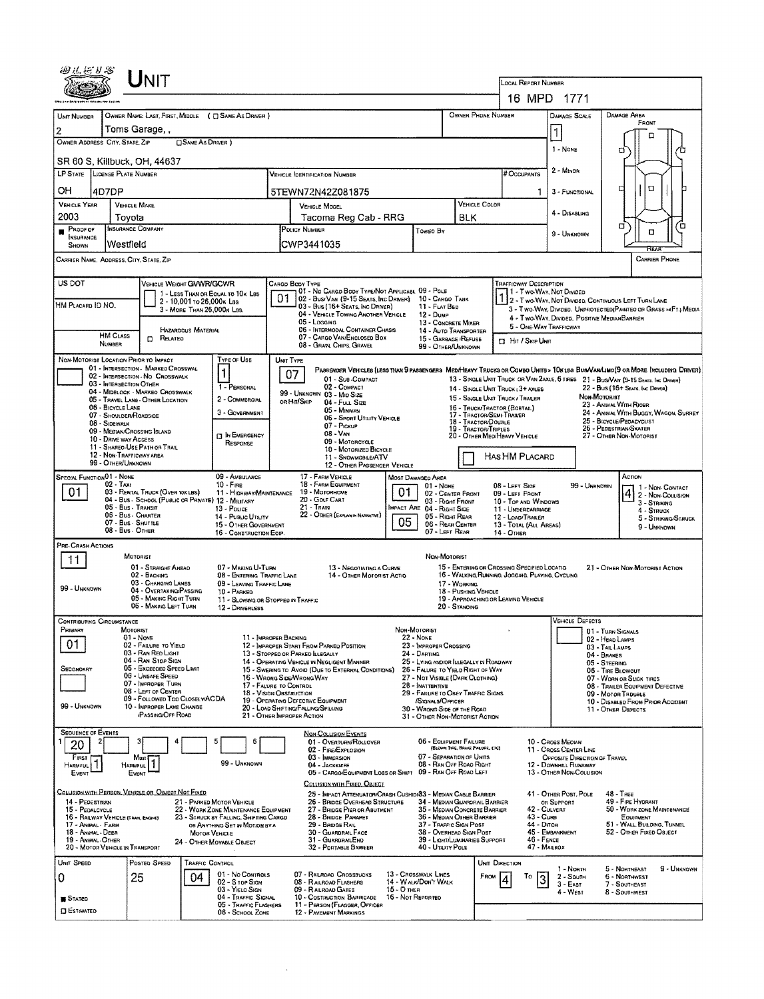|                                                                                                                                                                                                                                       | $J_{\mathsf{NIT}}$                                                       |                                                                                          |                                                     |                                                                                                      |                   |                                                                                           |                                                   |                                                                                                 |                                            |                                                                                   |                                  |                                                                                                                                |  |
|---------------------------------------------------------------------------------------------------------------------------------------------------------------------------------------------------------------------------------------|--------------------------------------------------------------------------|------------------------------------------------------------------------------------------|-----------------------------------------------------|------------------------------------------------------------------------------------------------------|-------------------|-------------------------------------------------------------------------------------------|---------------------------------------------------|-------------------------------------------------------------------------------------------------|--------------------------------------------|-----------------------------------------------------------------------------------|----------------------------------|--------------------------------------------------------------------------------------------------------------------------------|--|
|                                                                                                                                                                                                                                       |                                                                          |                                                                                          |                                                     |                                                                                                      |                   |                                                                                           |                                                   |                                                                                                 | LOCAL REPORT NUMBER<br>16 MPD<br>-1771     |                                                                                   |                                  |                                                                                                                                |  |
| OWNER PHONE NUMBER<br>OWNER NAME: LAST, FIRST, MIDDLE ( C SAME AS DRIVER )<br>UNIT NUMBER                                                                                                                                             |                                                                          |                                                                                          |                                                     |                                                                                                      |                   |                                                                                           |                                                   |                                                                                                 |                                            | <b>DAMAGE SCALE</b>                                                               |                                  | DAMAGE AREA                                                                                                                    |  |
| Toms Garage, ,<br>2                                                                                                                                                                                                                   |                                                                          |                                                                                          |                                                     |                                                                                                      |                   |                                                                                           |                                                   |                                                                                                 |                                            |                                                                                   |                                  | FRONT                                                                                                                          |  |
| OWNER ADDRESS CITY, STATE, ZIP<br><b>CISAME AS DRIVER</b> )                                                                                                                                                                           |                                                                          |                                                                                          |                                                     |                                                                                                      |                   |                                                                                           |                                                   |                                                                                                 |                                            | 1 - NONE                                                                          |                                  | n                                                                                                                              |  |
| ο<br><b>SR 60 S, Killbuck, OH, 44637</b>                                                                                                                                                                                              |                                                                          |                                                                                          |                                                     |                                                                                                      |                   |                                                                                           |                                                   |                                                                                                 |                                            |                                                                                   |                                  |                                                                                                                                |  |
| LP STATE LICENSE PLATE NUMBER<br><b>VEHICLE IDENTIFICATION NUMBER</b>                                                                                                                                                                 |                                                                          |                                                                                          |                                                     |                                                                                                      |                   |                                                                                           |                                                   |                                                                                                 | # Occupants                                | 2 - Minon                                                                         |                                  |                                                                                                                                |  |
| OН<br>4D7DP<br>5TEWN72N42Z081875                                                                                                                                                                                                      |                                                                          |                                                                                          |                                                     |                                                                                                      |                   |                                                                                           |                                                   |                                                                                                 | 1                                          | 3 - FUNCTIONAL                                                                    |                                  | $\Box$<br>о                                                                                                                    |  |
| <b>VEHICLE YEAR</b><br>2003                                                                                                                                                                                                           | <b>VEHICLE MAKE</b><br>Toyota                                            |                                                                                          |                                                     | <b>VEHICLE COLOR</b><br>VEHICLE MODEL<br>Tacoma Reg Cab - RRG<br>BLK                                 |                   |                                                                                           |                                                   |                                                                                                 |                                            | 4 - DISABLING                                                                     |                                  |                                                                                                                                |  |
| PROOF OF                                                                                                                                                                                                                              | <b>INSURANCE COMPANY</b>                                                 |                                                                                          | POLICY NUMBER<br>Toweo By                           |                                                                                                      |                   |                                                                                           |                                                   |                                                                                                 |                                            | 9 - UNKNOWN                                                                       |                                  | α<br>Έ<br>D                                                                                                                    |  |
| <b>INSURANCE</b><br>Westfield<br>SHOWN                                                                                                                                                                                                |                                                                          |                                                                                          |                                                     | CWP3441035                                                                                           |                   |                                                                                           |                                                   |                                                                                                 |                                            |                                                                                   |                                  |                                                                                                                                |  |
| CARRIER NAME, ADDRESS, CITY, STATE, ZIP                                                                                                                                                                                               |                                                                          |                                                                                          |                                                     |                                                                                                      |                   |                                                                                           |                                                   |                                                                                                 |                                            |                                                                                   |                                  | <b>CARRIER PHONE</b>                                                                                                           |  |
| US DOT                                                                                                                                                                                                                                | VEHICLE WEIGHT GWWR/GCWR                                                 |                                                                                          | CARGO BODY TYPE                                     | 01 - No CARGO BODY TYPE/NOT APPLICABL 09 - POLE                                                      |                   |                                                                                           |                                                   |                                                                                                 | TRAFFICWAY DESCRIPTION                     |                                                                                   |                                  |                                                                                                                                |  |
| HM PLACARD ID NO.                                                                                                                                                                                                                     | 2 - 10.001 то 26.000к Lss                                                | 1 - LESS THAN OR EQUAL TO 10K LBS                                                        | 01                                                  | 02 - Bus/Van (9-15 Seats, Inc Driver)<br>03 - Bus (16+ Seats, Inc Driver)                            |                   | 10 - CARGO TANK<br>11 - FLAT BED                                                          |                                                   |                                                                                                 |                                            | 1 - Two Way, Not Divided                                                          |                                  | 2 - Two WAY, NOT DIVIDED, CONTINUOUS LEFT TURN LANE                                                                            |  |
|                                                                                                                                                                                                                                       | 3 - MORE THAN 26,000K LBS.                                               |                                                                                          |                                                     | 04 - VEHICLE TOWING ANOTHER VEHICLE<br>05 - Logging                                                  |                   | <b>12 - Dump</b><br>13 - CONCRETE MIXER                                                   |                                                   |                                                                                                 |                                            | 4 - Two-WAY, DIVIDED, POSITIVE MEDIANBARRIER                                      |                                  | 3 - Two-WAY, DIVIDED. UNPROTECTED (PAINTED OR GRASS = F1.) MEOIA                                                               |  |
| <b>HM CLASS</b>                                                                                                                                                                                                                       | <b>HAZAROOUS MATERIAL</b><br>RELATEO<br>o                                |                                                                                          |                                                     | 06 - INTERMODAL CONTAINER CHASIS<br>07 - CARGO VAN/ENCLOSED BOX                                      |                   | 14 - AUTO TRANSPORTER<br>15 - GARBAGE / REFUSE                                            |                                                   |                                                                                                 | <b>D</b> Hit / Skip UNIT                   | 5 - ONE-WAY TRAFFICWAY                                                            |                                  |                                                                                                                                |  |
| NUMBER                                                                                                                                                                                                                                |                                                                          |                                                                                          |                                                     | 08 - GRAIN, CHIPS, GRAVEL                                                                            |                   | 99 - OTHER/UNKNOWN                                                                        |                                                   |                                                                                                 |                                            |                                                                                   |                                  |                                                                                                                                |  |
| NON-MOTORIST LOCATION PRIOR TO IMPACT                                                                                                                                                                                                 | 01 - INTERSECTION - MARKED CROSSWAL                                      | TYPE OF USE                                                                              | <b>UNIT TYPE</b><br>07                              |                                                                                                      |                   |                                                                                           |                                                   |                                                                                                 |                                            |                                                                                   |                                  | PASSENGER VEHICLES (LESS TRAN 9 PASSENGERS MED/HEAVY TRUCKS OR COMBO UNITS > 10 K LES BUS/VAM/LIMO(9 OR MORE INCLUDING DRIVER) |  |
| 03 - INTERSECTION OTHER                                                                                                                                                                                                               | 02 - INTERSECTION - NO CROSSWALK<br>04 - MIDBLOCK - MARKED CROSSWALK     | 1 - PERSONAL                                                                             |                                                     | 01 - Sub-Compact<br>02 - COMPACT                                                                     |                   |                                                                                           |                                                   | 14 - SINGLE UNIT TRUCK: 3+ AXLES                                                                |                                            |                                                                                   |                                  | 13 - SINGLE UNIT TRUCK OR VAN ZAXLE, 6 TIRES 21 - BUS/VAN (9-15 SEATS, INC DRIVER)<br>22 - Bus (16+ Sears, Inc Driver)         |  |
| 06 - BICYCLE LANE                                                                                                                                                                                                                     | 05 - TRAVEL LANE - OTHER LOCATION                                        | 2 - COMMERCIAL                                                                           | on Hit/Skip                                         | 99 UNKNOWN 03 - MID SIZE<br>04 - Full Size                                                           |                   |                                                                                           |                                                   | 15 - SINGLE UNIT TRUCK / TRALER<br>16 - TRUCK/TRACTOR (BOBTAIL)                                 |                                            |                                                                                   | Non-Motoriat                     | 23 - ANIMAL WITH RIDER                                                                                                         |  |
| 08 - Sidewalk                                                                                                                                                                                                                         | 07 - SHOULDER/ROADSIDE                                                   | 3 - Government                                                                           |                                                     | 05 - MINIVAN<br>06 - Sport Uttuty Vehicle<br>$07 -$ Pickup                                           |                   |                                                                                           | 18 - TRACTOR/DOUBLE                               | 17 - TRACTOR/SEMI-TRAILER                                                                       |                                            |                                                                                   |                                  | 24 - ANMAL WITH BUGGY, WAGON, SURREY<br>25 - BICYCLE/PEDACYCLIST                                                               |  |
| 10 - DRIVE WAY ACCESS                                                                                                                                                                                                                 | 09 - MEDIAN/CROSSING SLAND                                               | 19 - TRACTOR/TRIPLES<br>$08 - V_{AN}$<br>20 - OTHER MEDIMEAVY VEHICLE<br>09 - MOTORCYCLE |                                                     |                                                                                                      |                   |                                                                                           | 26 - PEDESTRIAN/SKATER<br>27 - OTHER NON-MOTORIST |                                                                                                 |                                            |                                                                                   |                                  |                                                                                                                                |  |
| RESPONSE<br>11 - Shareo-Use Path or Trail<br>10 - MOTORIZED BICYCLE<br>12 - NON-TRAFFICWAY AREA<br>HAS HM PLACARD<br>11 - SNOWMOBLE/ATV                                                                                               |                                                                          |                                                                                          |                                                     |                                                                                                      |                   |                                                                                           |                                                   |                                                                                                 |                                            |                                                                                   |                                  |                                                                                                                                |  |
| 99 - OTHER/UNKNOWN<br><b>SPECIAL FUNCTION 01 - NONE</b>                                                                                                                                                                               |                                                                          | 09 - AMBULANCE                                                                           |                                                     | 12 - OTHER PASSENGER VEHICLE<br>17 - FARM VEHICLE                                                    |                   |                                                                                           |                                                   |                                                                                                 |                                            |                                                                                   |                                  | ACTION                                                                                                                         |  |
| 02 - TAXI<br>$10 -$ Fire<br>01<br>03 - RENTAL TRUCK (OVER 10KLBS)<br>11 - HIGHWAY/MAINTENANCE                                                                                                                                         |                                                                          |                                                                                          |                                                     | MOST DAMAGED AREA<br>18 - FARM EQUIPMENT<br>$01 - None$<br>01<br>19 - Мотояноме<br>02 - CENTER FRONT |                   |                                                                                           |                                                   | 08 - LEFT SIDE<br>99 - Unknown<br>09 - LEFT FRONT                                               |                                            |                                                                                   | 1 - Non Contact                  |                                                                                                                                |  |
|                                                                                                                                                                                                                                       | 04 - Bus - School (Public or Private) 12 - Maitary<br>05 - Bus - Transit | 13 - Pouce                                                                               |                                                     | 20 - GOLF CART<br>21 - TRAIN                                                                         |                   | 03 - Right Front<br><b>IMPACT ARE 04 - RIGHT SIDE</b>                                     |                                                   |                                                                                                 | 10 - TOP AND WINDOWS<br>11 - UNDERCARRIAGE |                                                                                   |                                  | $\left  \frac{4}{2} \right $ 2 - Non-Coursion<br>3 - STRIKING<br>4 - Struck                                                    |  |
| 22 - OTHER (EXPLANIN NARRATIVE)<br>06 - Bus - Charter<br>14 - Pusuc Unarry<br>05 - RIGHT REAR<br>12 - LOAD/TRAILER<br>05<br>07 Bus SHUTTLE<br>06 - REAR CENTER<br>15 - OTHER GOVERNMENT<br>13 - TOTAL (ALL AREAS)<br>08 - Bus - OTHER |                                                                          |                                                                                          |                                                     |                                                                                                      |                   |                                                                                           | 5 - STRIKING/STRUCK<br>9 - Unknown                |                                                                                                 |                                            |                                                                                   |                                  |                                                                                                                                |  |
| PRE-CRASH ACTIONS                                                                                                                                                                                                                     |                                                                          | 16 - CONSTRUCTION EOIP.                                                                  |                                                     |                                                                                                      |                   | 07 - LEFT REAR                                                                            |                                                   | 14 - OTHER                                                                                      |                                            |                                                                                   |                                  |                                                                                                                                |  |
| 11                                                                                                                                                                                                                                    | MOTORIST                                                                 |                                                                                          |                                                     |                                                                                                      |                   | NON-MOTORIST                                                                              |                                                   |                                                                                                 |                                            |                                                                                   |                                  |                                                                                                                                |  |
|                                                                                                                                                                                                                                       | 01 - STRAIGHT AHEAD<br>02 - BACKING<br>03 - CHANGING LANES               | 07 - MAKING U-TURN<br>08 - ENTERING TRAFFIC LANE                                         |                                                     | 13 - NEGOTIATING A CURVE<br>14 - OTHER MOTORIST ACTIO                                                |                   |                                                                                           |                                                   | 15 - ENTERING OR CROSSING SPECIFIED LOCATIO<br>16 - WALKING, RUNNING, JOGGING, PLAYING, CYCLING |                                            |                                                                                   |                                  | 21 - OTHER NON-MOTORIST ACTION                                                                                                 |  |
| 99 - UNKNOWN                                                                                                                                                                                                                          | 04 - OVERTAKING/PASSING<br>05 - MAKING RIGHT TURN                        | 09 - LEAVING TRAFFIC LANE<br>10 - PARKED<br>11 - SLOWING OR STOPPED IN TRAFFIC           |                                                     |                                                                                                      |                   |                                                                                           | 17 - WORKING<br>18 - PUSHING VEHICLE              | 19 - APPROACHING OR LEAVING VEHICLE                                                             |                                            |                                                                                   |                                  |                                                                                                                                |  |
|                                                                                                                                                                                                                                       | 06 - MAKING LEFT TURN                                                    | 12 - DRIVERLESS                                                                          |                                                     |                                                                                                      |                   |                                                                                           | 20 - STANOING                                     |                                                                                                 |                                            |                                                                                   |                                  |                                                                                                                                |  |
| <b>CONTRIBUTING CIRCUMSTANCE</b><br>Primary                                                                                                                                                                                           | MOTORIST                                                                 |                                                                                          |                                                     |                                                                                                      | NON-MOTORIST      |                                                                                           |                                                   |                                                                                                 |                                            | <b>VEHICLE DEFECTS</b>                                                            | 01 - TURN SIGNALS                |                                                                                                                                |  |
| 01                                                                                                                                                                                                                                    | $01 - None$<br>02 - FAILURE TO YIELD                                     |                                                                                          | 11 - IMPROPER BACKING                               | 12 - IMPROPER START FROM PARKED POSITION                                                             | $22 - None$       | 23 - IMPROPER CROSSING                                                                    |                                                   |                                                                                                 |                                            |                                                                                   | 02 HEAD LAMPS<br>03 - TAIL LAMPS |                                                                                                                                |  |
|                                                                                                                                                                                                                                       | 03 - RAN RED LIGHT<br>04 - RAN STOP SIGN<br>05 - Exceeded Speed Limit    |                                                                                          |                                                     | 13 - Stopped or Parked Llegally<br>14 - OPERATING VEHICLE IN NEGLIGENT MANNER                        |                   | 24 - DARTING<br>25 - LYING ANDIOR LLEGALLY IN ROADWAY                                     |                                                   |                                                                                                 |                                            |                                                                                   | 04 - BRAKES<br>05 - STEERING     |                                                                                                                                |  |
| SECONDARY                                                                                                                                                                                                                             | 06 - UNSAFE SPEED<br>07 - IMPROPER TURN                                  |                                                                                          | 16 - WRONG SIDE/WRONG WAY<br>17 - FALURE TO CONTROL | 15 - SWERING TO AVOID (DUE TO EXTERNAL CONDITIONS)                                                   |                   | 26 - FALURE TO YIELD RIGHT OF WAY<br>27 - Not Visible (DARK CLOTHING)<br>28 - INATTENTIVE |                                                   |                                                                                                 |                                            |                                                                                   | 06 - TIRE BLOWOUT                | 07 - WORN OR SLICK TIRES                                                                                                       |  |
|                                                                                                                                                                                                                                       | 08 - LEFT OF CEMTER<br>09 - FOLLOWED TOO CLOSEL Y/ACDA                   |                                                                                          | 18 - VISION OBSTRUCTION                             | 19 - OPERATING DEFECTIVE EQUIPMENT                                                                   |                   | 29 - FAILURE TO OBEY TRAFFIC SIGNS<br>/SIGNALS/OFFICER                                    |                                                   |                                                                                                 |                                            |                                                                                   | 09 - MOTOR TRDUBLE               | 08 - TRAILER EQUIPMENT DEFECTIVE<br>10 - DISABLED FROM PRIOR ACCIDENT                                                          |  |
| 99 - UNKNOWN                                                                                                                                                                                                                          | 10 - IMPROPER LANE CHANGE<br><b>PASSING/OFF ROAD</b>                     |                                                                                          | 21 - OTHER IMPROPER ACTION                          | 20 - LOAD SHETING/FALLING/SPILLING                                                                   |                   | 30 - WRONG SIDE OF THE ROAD<br>31 - OTHER NON-MOTORIST ACTION                             |                                                   |                                                                                                 |                                            |                                                                                   | 11 - OTHER DEFECTS               |                                                                                                                                |  |
| <b>SEQUENCE OF EVENTS</b>                                                                                                                                                                                                             |                                                                          |                                                                                          |                                                     | <b>NON-COLLISION EVENTS</b>                                                                          |                   |                                                                                           |                                                   |                                                                                                 |                                            |                                                                                   |                                  |                                                                                                                                |  |
| 20                                                                                                                                                                                                                                    |                                                                          | 5<br>6                                                                                   |                                                     | 01 - OVERTURN/ROLLOVER<br>02 - FIRE/EXPLOSION                                                        |                   | 06 - EQUIPMENT FAILURE                                                                    | (BLOWN TIRE, BRAXE FALURE, ETC)                   |                                                                                                 |                                            | 10 - Cross Median<br>11 - Cross Center Line                                       |                                  |                                                                                                                                |  |
| FIRST<br>HARMFUL                                                                                                                                                                                                                      | Most<br>HARMFUL                                                          | 99 - UNKNOWN                                                                             |                                                     | 03 - IMMERSION<br>04 - Jackkin FE<br>05 - CARGO/EQUIPMENT LOSS OR SHIFT 09 - RAN OFF ROAD LEFT       |                   | 07 - SEPARATION OF UNITS<br>08 - RAN OFF ROAD RIGHT                                       |                                                   |                                                                                                 |                                            | OPPOSITE DIRECTION OF TRAVEL<br>12 - DOWNHILL RUNAWAY<br>13 - OTHER NON-COLLISION |                                  |                                                                                                                                |  |
| EVENT                                                                                                                                                                                                                                 | EVENT                                                                    |                                                                                          |                                                     | COLLISION WITH FIXED, OBJECT                                                                         |                   |                                                                                           |                                                   |                                                                                                 |                                            |                                                                                   |                                  |                                                                                                                                |  |
| 14 - PEDESTRIAN                                                                                                                                                                                                                       | <u>Collision with Person, Vehicle or Object Not Fixed</u>                | 21 - PARKED MOTOR VEHICLE                                                                |                                                     | 25 - IMPACT ATTENUATOR/CRASH CUSHIDI33 - MEDIAN CABLE BARRIER<br>26 - BRIDGE OVERHEAD STRUCTURE      |                   | 34 - MEDIAN GUARDRAIL BARRIER                                                             |                                                   |                                                                                                 |                                            | 41 - OTHER POST, POLE<br>OR SUPPORT                                               |                                  | 48 - Тяве<br>49 - FIRE HYDRANT                                                                                                 |  |
| 15 - PEDALCYCLE<br>16 - RAILWAY VEHICLE (TRADI, ENGINE)                                                                                                                                                                               |                                                                          | 22 - WORK ZONE MAINTENANCE EQUIPMENT<br>23 - STRUCK BY FALLING, SHIFTING CARGO           |                                                     | 27 - BRIDGE PIER OR ABUTMENT<br>28 - BRIDGE PARAPET                                                  |                   | 35 - Median Concrete Barrier<br>36 - MEDIAN OTHER BARRIER                                 |                                                   |                                                                                                 | 42 - CULVERT<br>43 - Cuna                  |                                                                                   |                                  | 50 - WORK ZONE MAINTENANCE<br>EQUIPMENT                                                                                        |  |
| 17 - ANIMAL - FARM<br>18 - ANIMAL - DEER<br>19 - ANIMAL OTHER                                                                                                                                                                         |                                                                          | OR ANYTHING SET IN MOTION BY A<br>MOTOR VEHICLE                                          |                                                     | 29 - BRIDGE RAIL<br>30 - GUARDRAIL FACE<br>31 - GUARDRAILEND                                         |                   | 37 - TRAFFIC SIGN POST<br>38 - OVERHEAD SIGN POST<br>39 - LIGHT/LUMINARIES SUPPORT        |                                                   |                                                                                                 | 44 - Олсн<br>46 - FENCE                    | 45 - EMBANKMENT                                                                   |                                  | 51 - WALL, BULDING, TUNNEL<br>52 - OTHER FIXED OBJECT                                                                          |  |
| 20 - MOTOR VEHICLE IN TRANSPORT                                                                                                                                                                                                       |                                                                          | 24 - OTHER MOVABLE OBJECT                                                                |                                                     | 32 - PORTABLE BARRIER                                                                                |                   | 40 - Unury Pole                                                                           |                                                   |                                                                                                 | 47 - MAILBOX                               |                                                                                   |                                  |                                                                                                                                |  |
| UNIT SPEED                                                                                                                                                                                                                            | POSTED SPEED                                                             | TRAFFIC CONTROL<br>01 - No CONTROLS                                                      |                                                     | 07 - RAILROAD CROSSBUCKS                                                                             |                   | 13 - Crosswalk Lines                                                                      |                                                   | <b>UNIT DIRECTION</b>                                                                           |                                            | 1 - Noath                                                                         |                                  | 9 - UNKNOWN<br>5 - NORTHEAST                                                                                                   |  |
| 0                                                                                                                                                                                                                                     | 25<br>04.                                                                | 02 - S TOP SIGN<br>03 - YIELD SIGN                                                       |                                                     | 08 - RAILROAD FLASHERS<br>09 - RAILROAD GATES                                                        | 15 - О тнен       | 14 - WALK/DON'T WALK                                                                      |                                                   | FROM                                                                                            | To                                         | 2 - South<br>$3 - E$ AST<br>4 - West                                              |                                  | 6 - NORTHWEST<br>7 - SOUTHEAST<br>8 - SOUTHWEST                                                                                |  |
| <b>STATED</b>                                                                                                                                                                                                                         |                                                                          | 04 - TRAFFIC SIGNAL<br>05 - TRAFFIC FLASHERS                                             |                                                     | 10 - COSTRUCTION BARRICADE<br>11 - PERSON (FLAGGER, OFFICER                                          | 16 - Not Reported |                                                                                           |                                                   |                                                                                                 |                                            |                                                                                   |                                  |                                                                                                                                |  |
| <b>ESTIMATED</b>                                                                                                                                                                                                                      |                                                                          | 06 - SCHOOL ZONE                                                                         |                                                     | 12 - PAVEMENT MARKINGS                                                                               |                   |                                                                                           |                                                   |                                                                                                 |                                            |                                                                                   |                                  |                                                                                                                                |  |

 $\mathcal{L}^{\text{max}}_{\text{max}}$